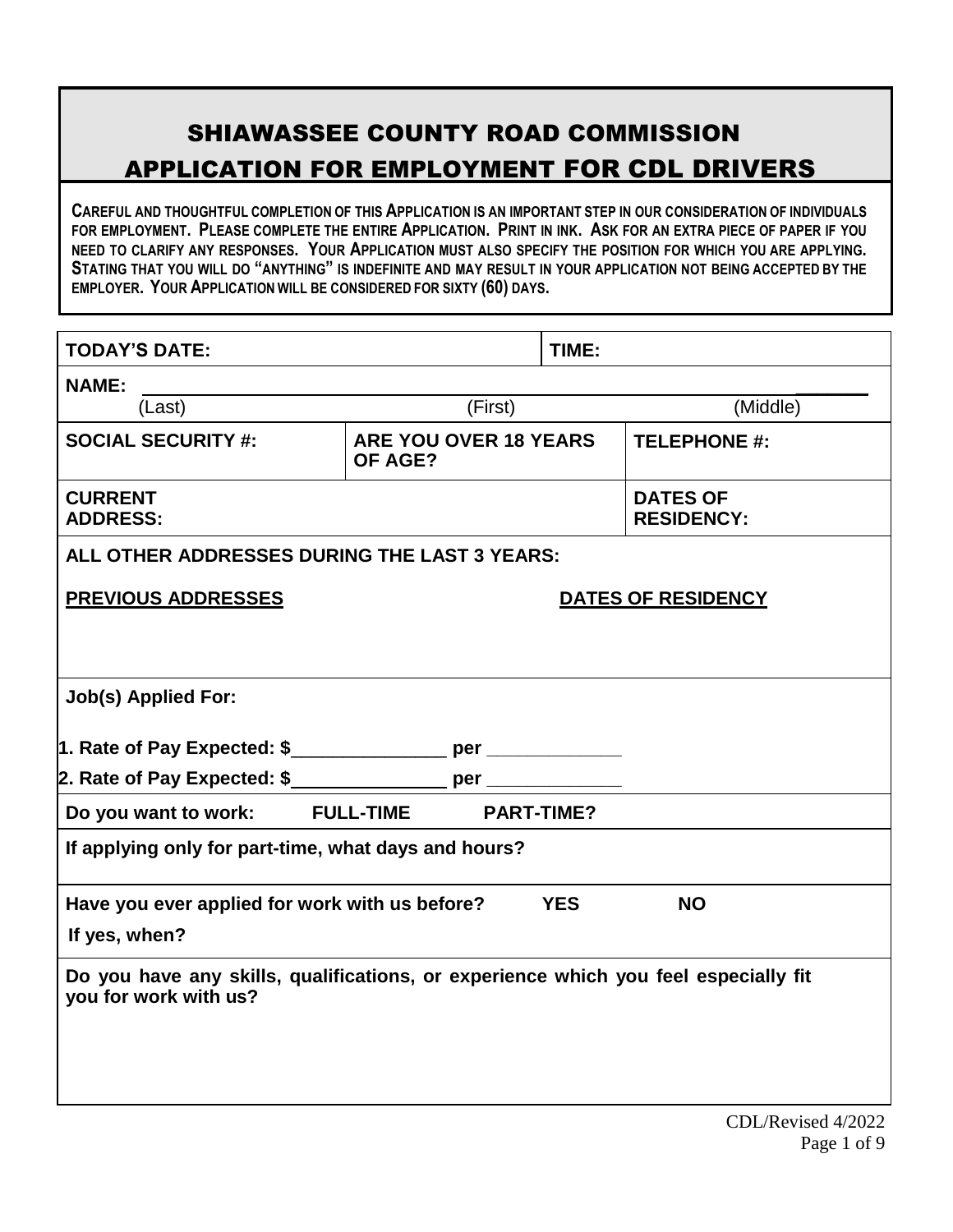# SHIAWASSEE COUNTY ROAD COMMISSION APPLICATION FOR EMPLOYMENT FOR CDL DRIVERS

**CAREFUL AND THOUGHTFUL COMPLETION OF THIS APPLICATION IS AN IMPORTANT STEP IN OUR CONSIDERATION OF INDIVIDUALS** FOR EMPLOYMENT. PLEASE COMPLETE THE ENTIRE APPLICATION. PRINT IN INK. ASK FOR AN EXTRA PIECE OF PAPER IF YOU NEED TO CLARIFY ANY RESPONSES. YOUR APPLICATION MUST ALSO SPECIFY THE POSITION FOR WHICH YOU ARE APPLYING. STATING THAT YOU WILL DO "ANYTHING" IS INDEFINITE AND MAY RESULT IN YOUR APPLICATION NOT BEING ACCEPTED BY THE **EMPLOYER. YOUR APPLICATION WILL BE CONSIDERED FOR SIXTY (60) DAYS.**

| <b>TODAY'S DATE:</b>                                                                                         |                                  | TIME:      |                                      |  |
|--------------------------------------------------------------------------------------------------------------|----------------------------------|------------|--------------------------------------|--|
| <b>NAME:</b>                                                                                                 |                                  |            |                                      |  |
| (Last)                                                                                                       | $\overline{\mathsf{F}}$ irst)    |            | (Middle)                             |  |
| <b>SOCIAL SECURITY #:</b>                                                                                    | ARE YOU OVER 18 YEARS<br>OF AGE? |            | <b>TELEPHONE #:</b>                  |  |
| <b>CURRENT</b><br><b>ADDRESS:</b>                                                                            |                                  |            | <b>DATES OF</b><br><b>RESIDENCY:</b> |  |
| ALL OTHER ADDRESSES DURING THE LAST 3 YEARS:                                                                 |                                  |            |                                      |  |
| <b>PREVIOUS ADDRESSES</b>                                                                                    |                                  |            | DATES OF RESIDENCY                   |  |
|                                                                                                              |                                  |            |                                      |  |
| <b>Job(s) Applied For:</b>                                                                                   |                                  |            |                                      |  |
| 1. Rate of Pay Expected: \$__________________ per _____________                                              |                                  |            |                                      |  |
|                                                                                                              |                                  |            |                                      |  |
| Do you want to work: FULL-TIME                                                                               | <b>PART-TIME?</b>                |            |                                      |  |
| If applying only for part-time, what days and hours?                                                         |                                  |            |                                      |  |
| Have you ever applied for work with us before?                                                               |                                  | <b>YES</b> | <b>NO</b>                            |  |
| If yes, when?                                                                                                |                                  |            |                                      |  |
| Do you have any skills, qualifications, or experience which you feel especially fit<br>you for work with us? |                                  |            |                                      |  |
|                                                                                                              |                                  |            |                                      |  |
|                                                                                                              |                                  |            |                                      |  |
|                                                                                                              |                                  |            |                                      |  |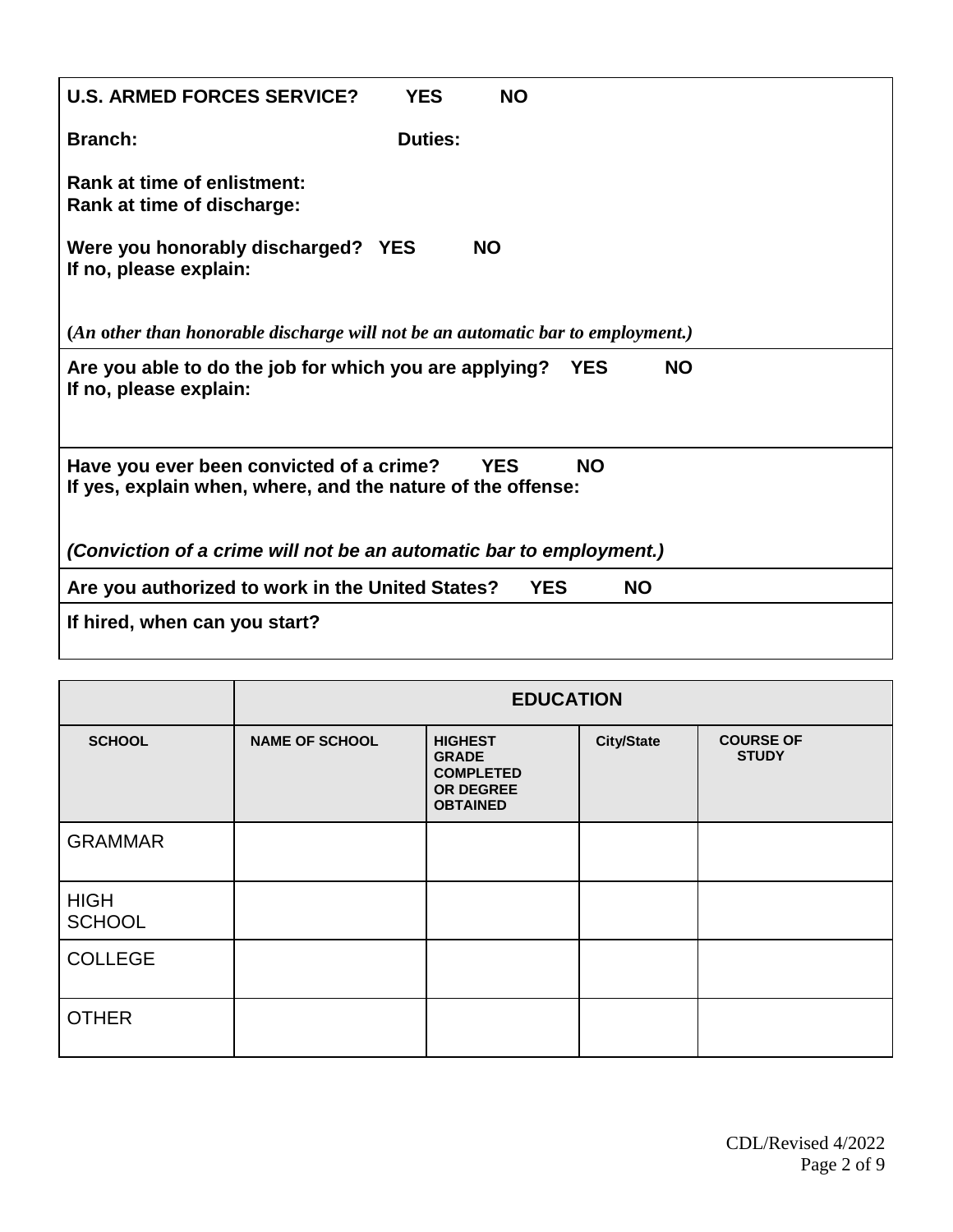| <b>U.S. ARMED FORCES SERVICE?</b>                                                                       | <b>YES</b>     | <b>NO</b>  |            |           |           |  |  |
|---------------------------------------------------------------------------------------------------------|----------------|------------|------------|-----------|-----------|--|--|
| <b>Branch:</b>                                                                                          | <b>Duties:</b> |            |            |           |           |  |  |
| Rank at time of enlistment:<br>Rank at time of discharge:                                               |                |            |            |           |           |  |  |
| Were you honorably discharged? YES<br>If no, please explain:                                            |                | <b>NO</b>  |            |           |           |  |  |
| (An other than honorable discharge will not be an automatic bar to employment.)                         |                |            |            |           |           |  |  |
| Are you able to do the job for which you are applying?<br>If no, please explain:                        |                |            | <b>YES</b> |           | <b>NO</b> |  |  |
| Have you ever been convicted of a crime?<br>If yes, explain when, where, and the nature of the offense: |                | <b>YES</b> | <b>NO</b>  |           |           |  |  |
| (Conviction of a crime will not be an automatic bar to employment.)                                     |                |            |            |           |           |  |  |
| Are you authorized to work in the United States?                                                        |                |            | <b>YES</b> | <b>NO</b> |           |  |  |
| If hired, when can you start?                                                                           |                |            |            |           |           |  |  |
|                                                                                                         |                |            |            |           |           |  |  |

|                              | <b>EDUCATION</b>      |                                                                                    |                   |                                  |
|------------------------------|-----------------------|------------------------------------------------------------------------------------|-------------------|----------------------------------|
| <b>SCHOOL</b>                | <b>NAME OF SCHOOL</b> | <b>HIGHEST</b><br><b>GRADE</b><br><b>COMPLETED</b><br>OR DEGREE<br><b>OBTAINED</b> | <b>City/State</b> | <b>COURSE OF</b><br><b>STUDY</b> |
| <b>GRAMMAR</b>               |                       |                                                                                    |                   |                                  |
| <b>HIGH</b><br><b>SCHOOL</b> |                       |                                                                                    |                   |                                  |
| <b>COLLEGE</b>               |                       |                                                                                    |                   |                                  |
| <b>OTHER</b>                 |                       |                                                                                    |                   |                                  |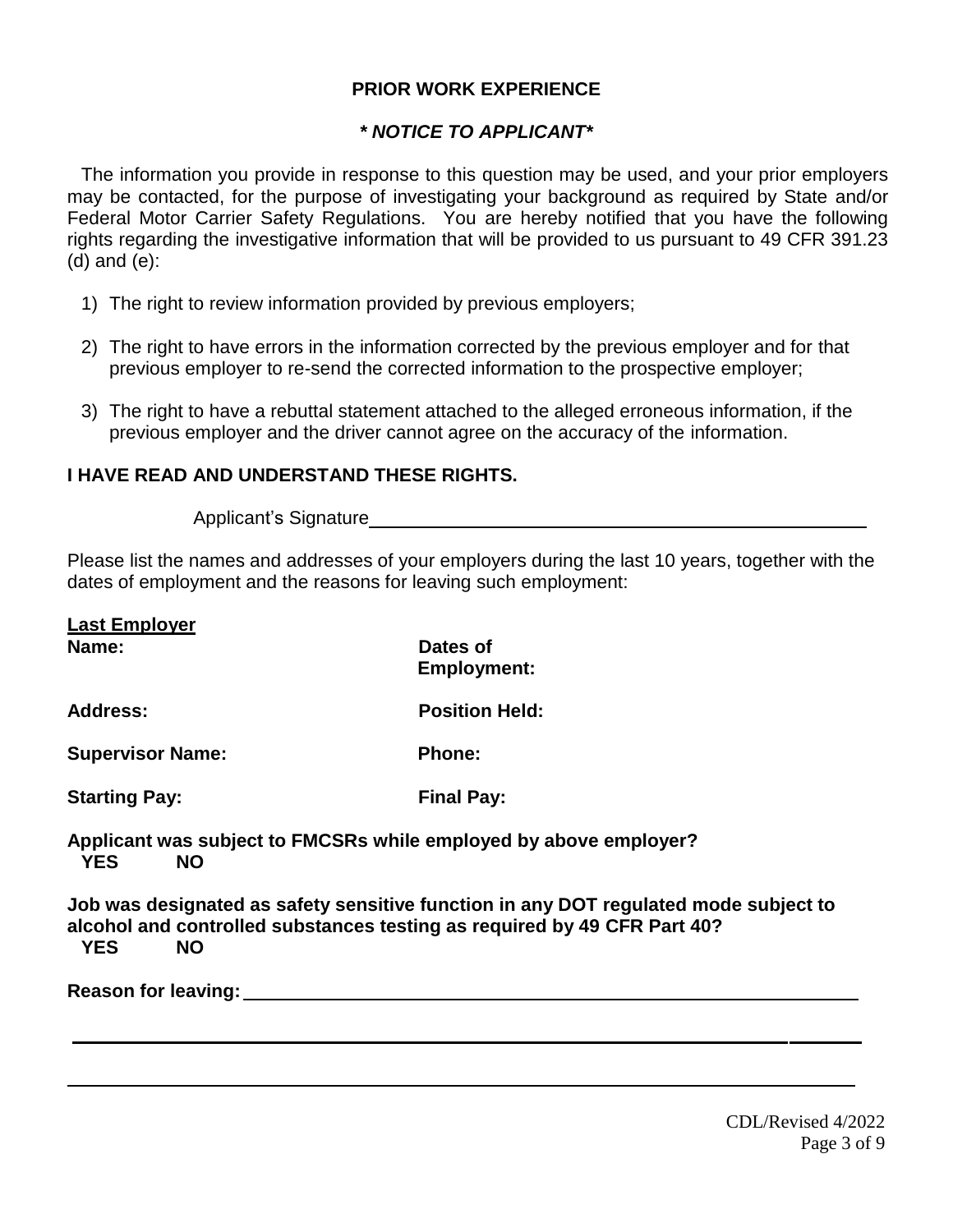#### **PRIOR WORK EXPERIENCE**

## *\* NOTICE TO APPLICANT\**

The information you provide in response to this question may be used, and your prior employers may be contacted, for the purpose of investigating your background as required by State and/or Federal Motor Carrier Safety Regulations. You are hereby notified that you have the following rights regarding the investigative information that will be provided to us pursuant to 49 CFR 391.23 (d) and (e):

- 1) The right to review information provided by previous employers;
- 2) The right to have errors in the information corrected by the previous employer and for that previous employer to re-send the corrected information to the prospective employer;
- 3) The right to have a rebuttal statement attached to the alleged erroneous information, if the previous employer and the driver cannot agree on the accuracy of the information.

## **I HAVE READ AND UNDERSTAND THESE RIGHTS.**

Applicant's Signature

Please list the names and addresses of your employers during the last 10 years, together with the dates of employment and the reasons for leaving such employment:

| <b>Last Employer</b>                                                                                |                                                                                      |
|-----------------------------------------------------------------------------------------------------|--------------------------------------------------------------------------------------|
| Name:                                                                                               | Dates of<br><b>Employment:</b>                                                       |
| <b>Address:</b>                                                                                     | <b>Position Held:</b>                                                                |
| <b>Supervisor Name:</b>                                                                             | Phone:                                                                               |
| <b>Starting Pay:</b>                                                                                | <b>Final Pay:</b>                                                                    |
| Applicant was subject to FMCSRs while employed by above employer?<br><b>YES</b><br><b>NO</b>        |                                                                                      |
| alcohol and controlled substances testing as required by 49 CFR Part 40?<br><b>YES</b><br><b>NO</b> | Job was designated as safety sensitive function in any DOT regulated mode subject to |
| <b>Reason for leaving:</b>                                                                          |                                                                                      |
|                                                                                                     |                                                                                      |
|                                                                                                     |                                                                                      |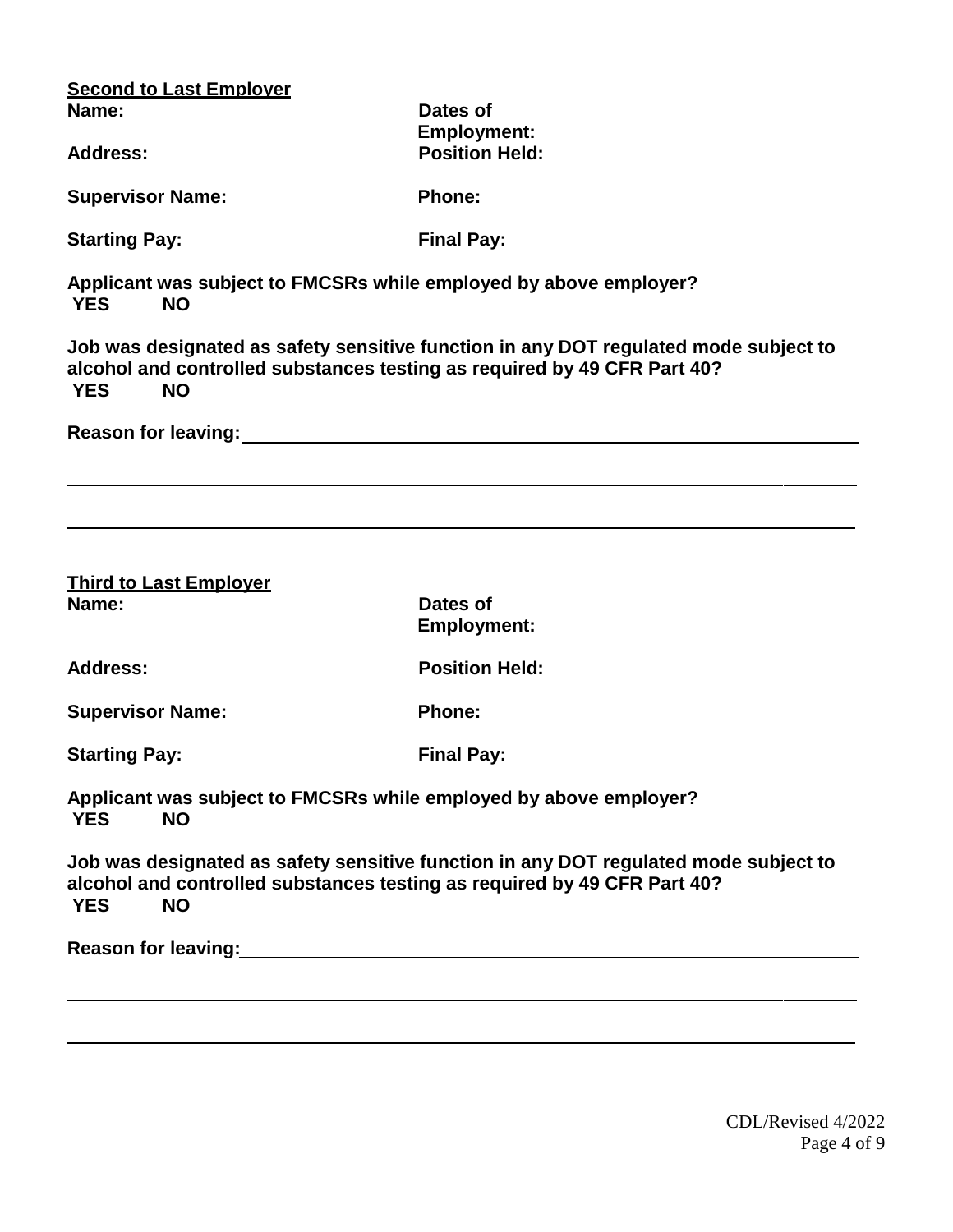| <b>Second to Last Employer</b>                                                                                                                                                                                                |                                                                                      |  |  |
|-------------------------------------------------------------------------------------------------------------------------------------------------------------------------------------------------------------------------------|--------------------------------------------------------------------------------------|--|--|
| Name:                                                                                                                                                                                                                         | Dates of<br><b>Employment:</b><br><b>Position Held:</b>                              |  |  |
| <b>Address:</b>                                                                                                                                                                                                               |                                                                                      |  |  |
| <b>Supervisor Name:</b>                                                                                                                                                                                                       | <b>Phone:</b>                                                                        |  |  |
| <b>Starting Pay:</b>                                                                                                                                                                                                          | <b>Final Pay:</b>                                                                    |  |  |
| Applicant was subject to FMCSRs while employed by above employer?<br><b>NO</b><br><b>YES</b>                                                                                                                                  |                                                                                      |  |  |
| alcohol and controlled substances testing as required by 49 CFR Part 40?<br><b>YES</b><br><b>NO</b>                                                                                                                           | Job was designated as safety sensitive function in any DOT regulated mode subject to |  |  |
|                                                                                                                                                                                                                               |                                                                                      |  |  |
|                                                                                                                                                                                                                               |                                                                                      |  |  |
|                                                                                                                                                                                                                               |                                                                                      |  |  |
| <b>Third to Last Employer</b>                                                                                                                                                                                                 |                                                                                      |  |  |
| Name:                                                                                                                                                                                                                         | Dates of<br><b>Employment:</b>                                                       |  |  |
| <b>Address:</b>                                                                                                                                                                                                               | <b>Position Held:</b>                                                                |  |  |
| <b>Supervisor Name:</b>                                                                                                                                                                                                       | <b>Phone:</b>                                                                        |  |  |
| <b>Starting Pay:</b>                                                                                                                                                                                                          | <b>Final Pay:</b>                                                                    |  |  |
| Applicant was subject to FMCSRs while employed by above employer?<br><b>YES</b><br><b>NO</b>                                                                                                                                  |                                                                                      |  |  |
| alcohol and controlled substances testing as required by 49 CFR Part 40?<br><b>NO</b><br><b>YES</b>                                                                                                                           | Job was designated as safety sensitive function in any DOT regulated mode subject to |  |  |
| Reason for leaving: Notice of the Contract of the Contract of the Contract of the Contract of the Contract of the Contract of the Contract of the Contract of the Contract of the Contract of the Contract of the Contract of |                                                                                      |  |  |
|                                                                                                                                                                                                                               |                                                                                      |  |  |
|                                                                                                                                                                                                                               |                                                                                      |  |  |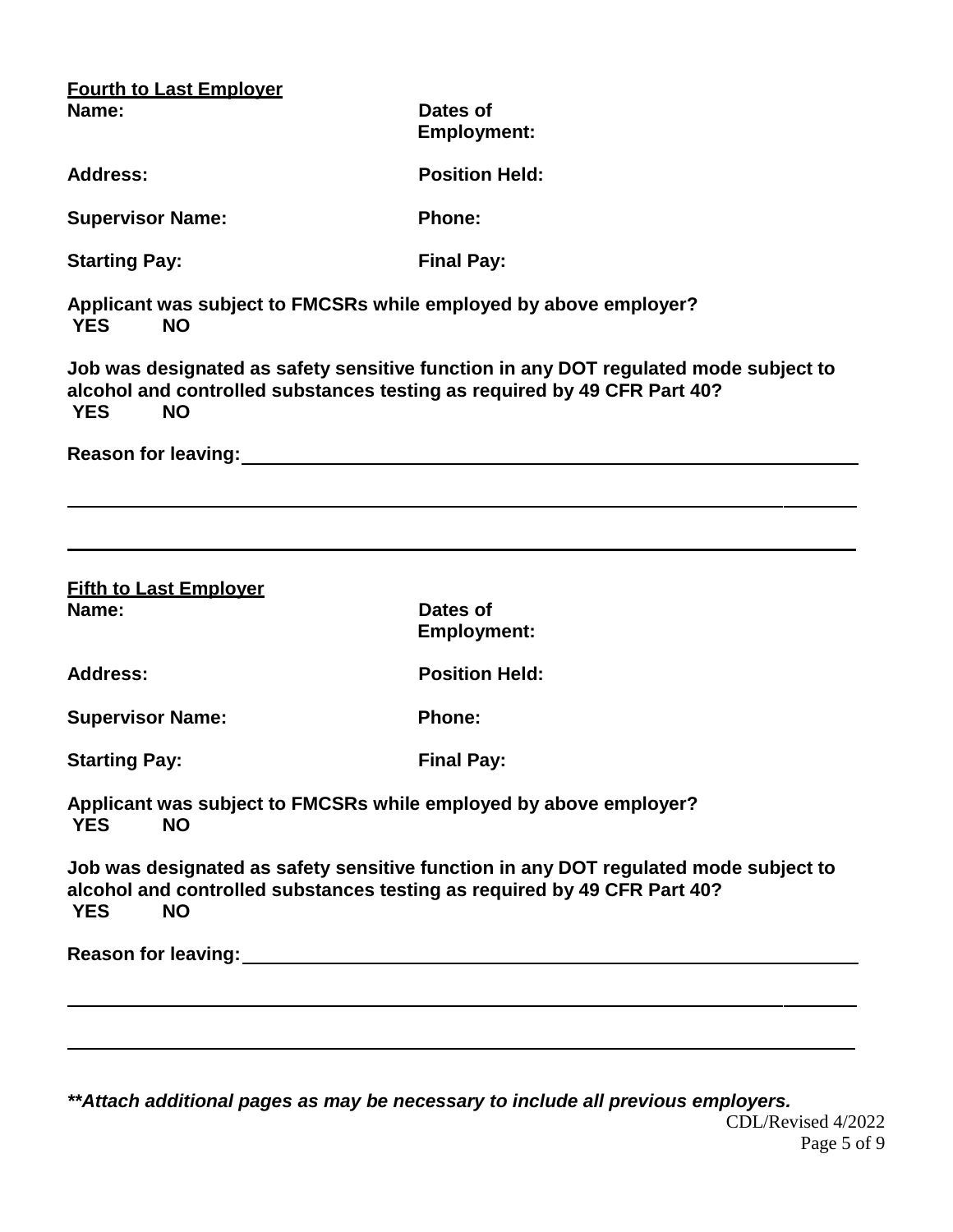| <b>Fourth to Last Employer</b>                                                                                                                                                                                                |                                                                                      |
|-------------------------------------------------------------------------------------------------------------------------------------------------------------------------------------------------------------------------------|--------------------------------------------------------------------------------------|
| Name:                                                                                                                                                                                                                         | Dates of<br><b>Employment:</b>                                                       |
| <b>Address:</b>                                                                                                                                                                                                               | <b>Position Held:</b>                                                                |
| <b>Supervisor Name:</b>                                                                                                                                                                                                       | <b>Phone:</b>                                                                        |
| <b>Starting Pay:</b>                                                                                                                                                                                                          | <b>Final Pay:</b>                                                                    |
| Applicant was subject to FMCSRs while employed by above employer?<br><b>YES</b><br><b>NO</b>                                                                                                                                  |                                                                                      |
| alcohol and controlled substances testing as required by 49 CFR Part 40?<br><b>YES</b><br><b>NO</b>                                                                                                                           | Job was designated as safety sensitive function in any DOT regulated mode subject to |
|                                                                                                                                                                                                                               |                                                                                      |
|                                                                                                                                                                                                                               |                                                                                      |
| <b>Fifth to Last Employer</b>                                                                                                                                                                                                 |                                                                                      |
| Name:                                                                                                                                                                                                                         | Dates of<br><b>Employment:</b>                                                       |
| <b>Address:</b>                                                                                                                                                                                                               | <b>Position Held:</b>                                                                |
| <b>Supervisor Name:</b>                                                                                                                                                                                                       | <b>Phone:</b>                                                                        |
| <b>Starting Pay:</b>                                                                                                                                                                                                          | <b>Final Pay:</b>                                                                    |
| Applicant was subject to FMCSRs while employed by above employer?<br><b>NO</b><br><b>YES</b>                                                                                                                                  |                                                                                      |
| alcohol and controlled substances testing as required by 49 CFR Part 40?<br><b>NO</b><br><b>YES</b>                                                                                                                           | Job was designated as safety sensitive function in any DOT regulated mode subject to |
| Reason for leaving: Notice of the contract of the contract of the contract of the contract of the contract of the contract of the contract of the contract of the contract of the contract of the contract of the contract of |                                                                                      |
|                                                                                                                                                                                                                               |                                                                                      |
|                                                                                                                                                                                                                               |                                                                                      |

CDL/Revised 4/2022 Page 5 of 9 *\*\*Attach additional pages as may be necessary to include all previous employers.*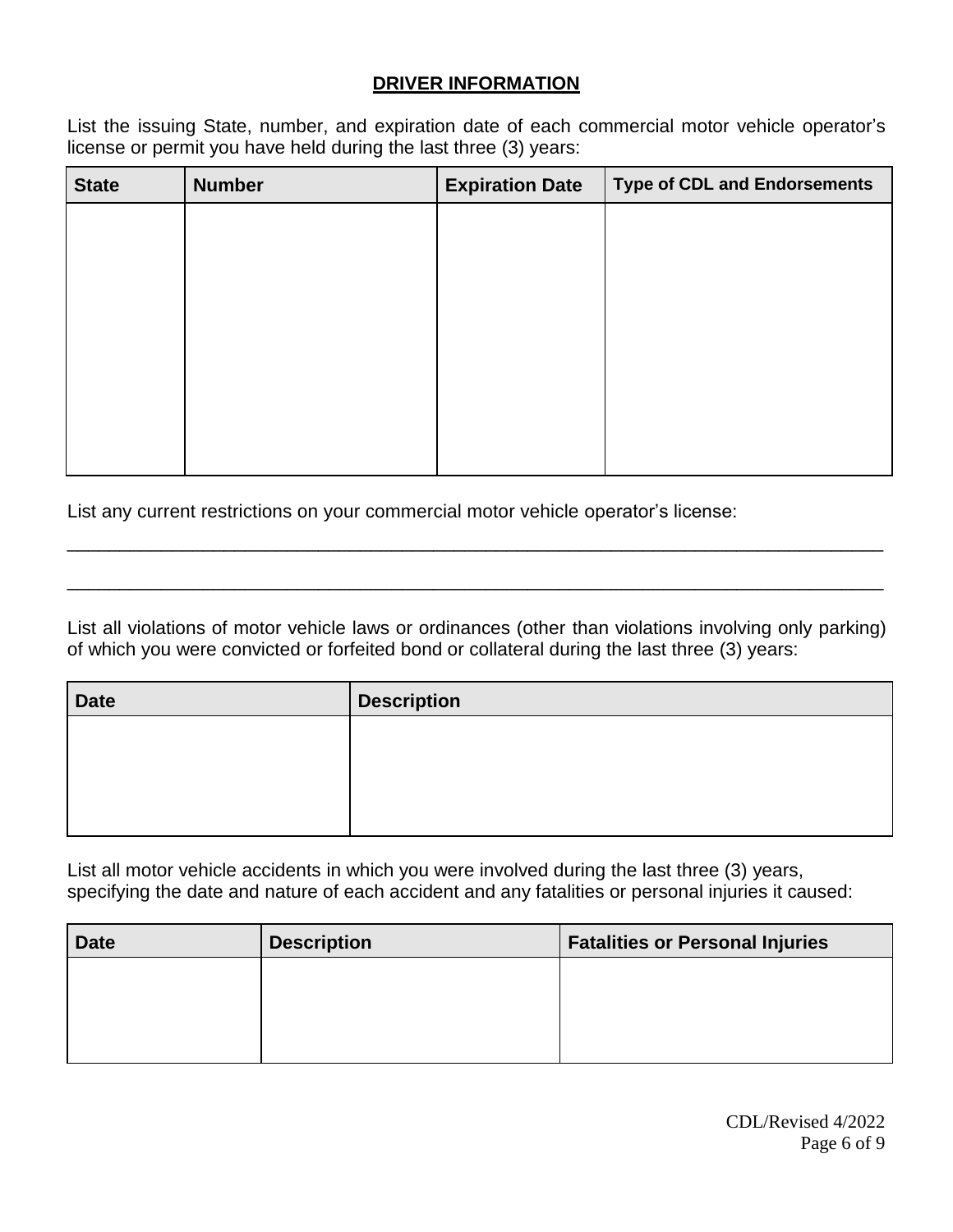# **DRIVER INFORMATION**

List the issuing State, number, and expiration date of each commercial motor vehicle operator's license or permit you have held during the last three (3) years:

| <b>State</b> | <b>Number</b> | <b>Expiration Date</b> | <b>Type of CDL and Endorsements</b> |
|--------------|---------------|------------------------|-------------------------------------|
|              |               |                        |                                     |
|              |               |                        |                                     |
|              |               |                        |                                     |
|              |               |                        |                                     |
|              |               |                        |                                     |
|              |               |                        |                                     |
|              |               |                        |                                     |
|              |               |                        |                                     |

List any current restrictions on your commercial motor vehicle operator's license:

List all violations of motor vehicle laws or ordinances (other than violations involving only parking) of which you were convicted or forfeited bond or collateral during the last three (3) years:

\_\_\_\_\_\_\_\_\_\_\_\_\_\_\_\_\_\_\_\_\_\_\_\_\_\_\_\_\_\_\_\_\_\_\_\_\_\_\_\_\_\_\_\_\_\_\_\_\_\_\_\_\_\_\_\_\_\_\_\_\_\_\_\_\_\_\_\_\_\_\_\_\_\_\_\_\_\_

\_\_\_\_\_\_\_\_\_\_\_\_\_\_\_\_\_\_\_\_\_\_\_\_\_\_\_\_\_\_\_\_\_\_\_\_\_\_\_\_\_\_\_\_\_\_\_\_\_\_\_\_\_\_\_\_\_\_\_\_\_\_\_\_\_\_\_\_\_\_\_\_\_\_\_\_\_\_

| <b>Date</b> | <b>Description</b> |
|-------------|--------------------|
|             |                    |
|             |                    |
|             |                    |
|             |                    |

List all motor vehicle accidents in which you were involved during the last three (3) years, specifying the date and nature of each accident and any fatalities or personal injuries it caused:

| <b>Date</b> | <b>Description</b> | <b>Fatalities or Personal Injuries</b> |
|-------------|--------------------|----------------------------------------|
|             |                    |                                        |
|             |                    |                                        |
|             |                    |                                        |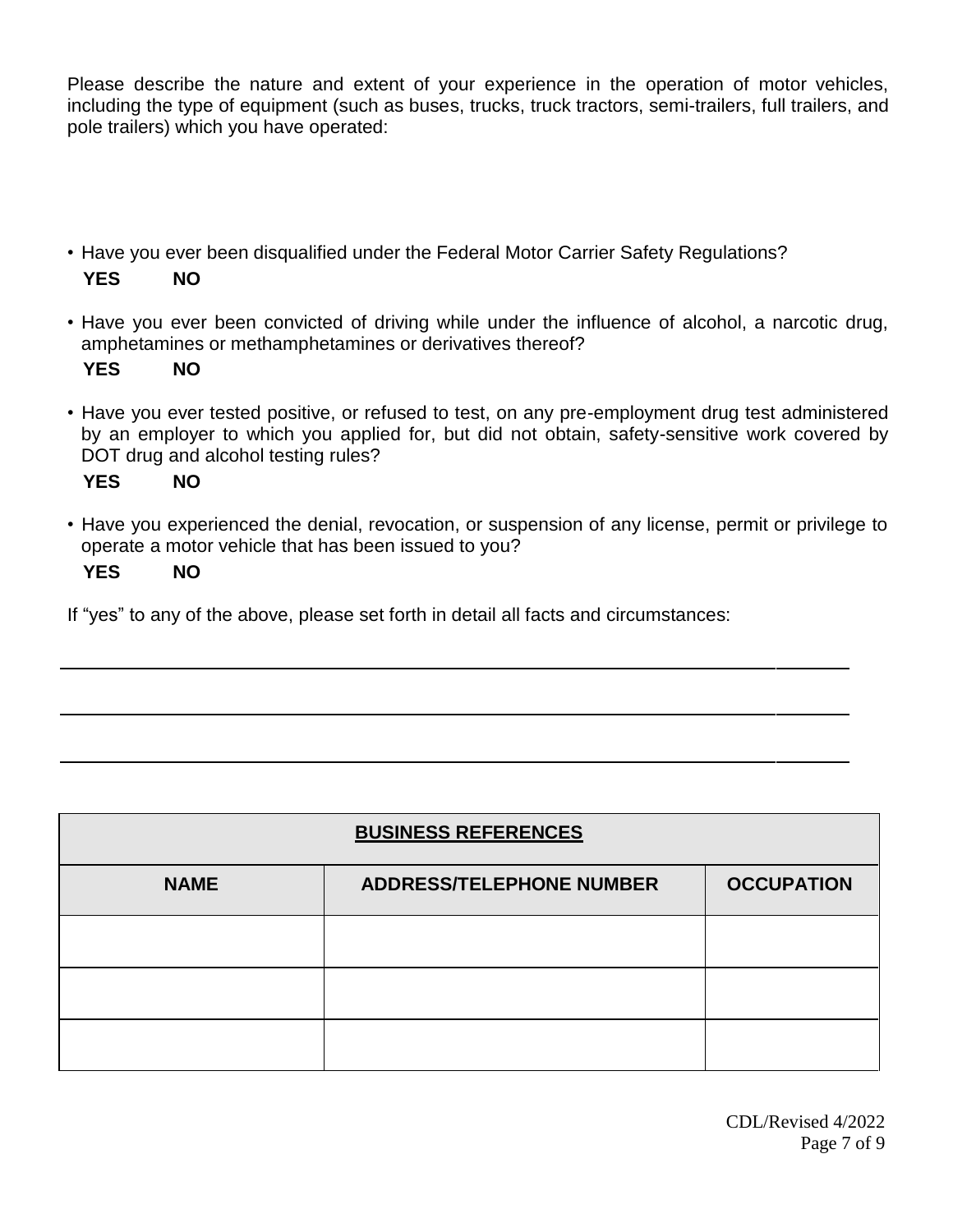Please describe the nature and extent of your experience in the operation of motor vehicles, including the type of equipment (such as buses, trucks, truck tractors, semi-trailers, full trailers, and pole trailers) which you have operated:

• Have you ever been disqualified under the Federal Motor Carrier Safety Regulations?

# **YES NO**

• Have you ever been convicted of driving while under the influence of alcohol, a narcotic drug, amphetamines or methamphetamines or derivatives thereof?

**YES NO**

• Have you ever tested positive, or refused to test, on any pre-employment drug test administered by an employer to which you applied for, but did not obtain, safety-sensitive work covered by DOT drug and alcohol testing rules?

**YES NO**

• Have you experienced the denial, revocation, or suspension of any license, permit or privilege to operate a motor vehicle that has been issued to you?

#### **YES NO**

If "yes" to any of the above, please set forth in detail all facts and circumstances:

| <b>BUSINESS REFERENCES</b> |                                 |                   |  |  |
|----------------------------|---------------------------------|-------------------|--|--|
| <b>NAME</b>                | <b>ADDRESS/TELEPHONE NUMBER</b> | <b>OCCUPATION</b> |  |  |
|                            |                                 |                   |  |  |
|                            |                                 |                   |  |  |
|                            |                                 |                   |  |  |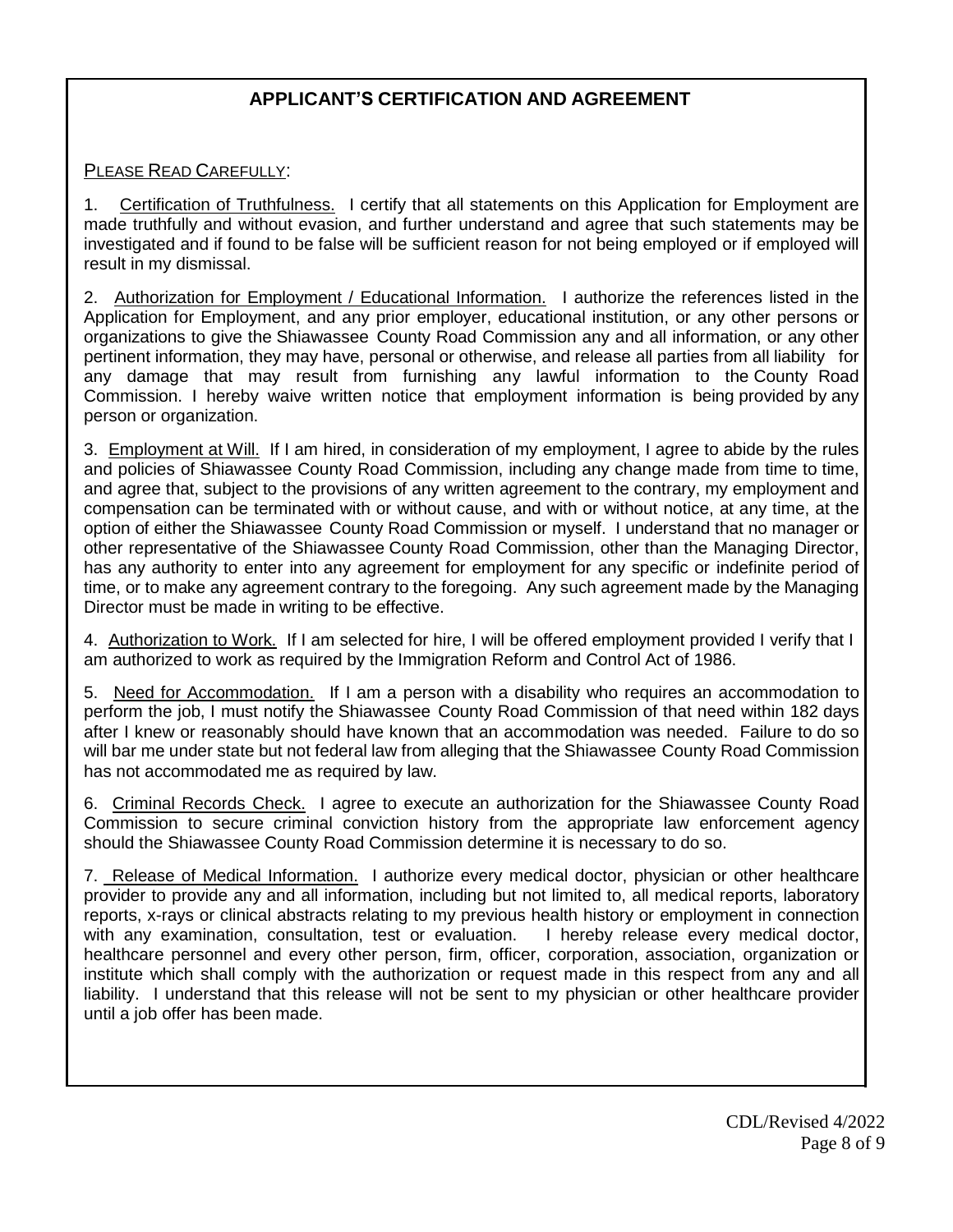# **APPLICANT'S CERTIFICATION AND AGREEMENT**

#### PLEASE READ CAREFULLY:

1. Certification of Truthfulness. I certify that all statements on this Application for Employment are made truthfully and without evasion, and further understand and agree that such statements may be investigated and if found to be false will be sufficient reason for not being employed or if employed will result in my dismissal.

2. Authorization for Employment / Educational Information. I authorize the references listed in the Application for Employment, and any prior employer, educational institution, or any other persons or organizations to give the Shiawassee County Road Commission any and all information, or any other pertinent information, they may have, personal or otherwise, and release all parties from all liability for any damage that may result from furnishing any lawful information to the County Road Commission. I hereby waive written notice that employment information is being provided by any person or organization.

3. Employment at Will. If I am hired, in consideration of my employment, I agree to abide by the rules and policies of Shiawassee County Road Commission, including any change made from time to time, and agree that, subject to the provisions of any written agreement to the contrary, my employment and compensation can be terminated with or without cause, and with or without notice, at any time, at the option of either the Shiawassee County Road Commission or myself. I understand that no manager or other representative of the Shiawassee County Road Commission, other than the Managing Director, has any authority to enter into any agreement for employment for any specific or indefinite period of time, or to make any agreement contrary to the foregoing. Any such agreement made by the Managing Director must be made in writing to be effective.

4. Authorization to Work. If I am selected for hire, I will be offered employment provided I verify that I am authorized to work as required by the Immigration Reform and Control Act of 1986.

5. Need for Accommodation. If I am a person with a disability who requires an accommodation to perform the job, I must notify the Shiawassee County Road Commission of that need within 182 days after I knew or reasonably should have known that an accommodation was needed. Failure to do so will bar me under state but not federal law from alleging that the Shiawassee County Road Commission has not accommodated me as required by law.

6. Criminal Records Check. I agree to execute an authorization for the Shiawassee County Road Commission to secure criminal conviction history from the appropriate law enforcement agency should the Shiawassee County Road Commission determine it is necessary to do so.

7. Release of Medical Information. I authorize every medical doctor, physician or other healthcare provider to provide any and all information, including but not limited to, all medical reports, laboratory reports, x-rays or clinical abstracts relating to my previous health history or employment in connection with any examination, consultation, test or evaluation. I hereby release every medical doctor, healthcare personnel and every other person, firm, officer, corporation, association, organization or institute which shall comply with the authorization or request made in this respect from any and all liability. I understand that this release will not be sent to my physician or other healthcare provider until a job offer has been made.